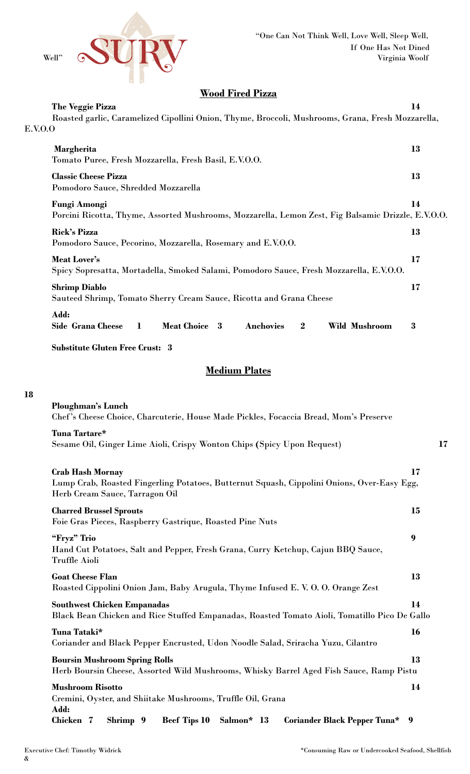

## **Wood Fired Pizza**

|         | The Veggie Pizza                                                                                                             | 14 |
|---------|------------------------------------------------------------------------------------------------------------------------------|----|
| E.V.O.O | Roasted garlic, Caramelized Cipollini Onion, Thyme, Broccoli, Mushrooms, Grana, Fresh Mozzarella,                            |    |
|         | Margherita                                                                                                                   | 13 |
|         | Tomato Puree, Fresh Mozzarella, Fresh Basil, E.V.O.O.<br><b>Classic Cheese Pizza</b><br>Pomodoro Sauce, Shredded Mozzarella  | 13 |
|         | Fungi Amongi<br>Porcini Ricotta, Thyme, Assorted Mushrooms, Mozzarella, Lemon Zest, Fig Balsamic Drizzle, E.V.O.O.           | 14 |
|         | <b>Rick's Pizza</b><br>Pomodoro Sauce, Pecorino, Mozzarella, Rosemary and E.V.O.O.                                           | 13 |
|         | <b>Meat Lover's</b><br>Spicy Sopresatta, Mortadella, Smoked Salami, Pomodoro Sauce, Fresh Mozzarella, E.V.O.O.               | 17 |
|         | <b>Shrimp Diablo</b><br>Sauteed Shrimp, Tomato Sherry Cream Sauce, Ricotta and Grana Cheese                                  | 17 |
|         | Add:<br><b>Meat Choice 3</b><br><b>Side Grana Cheese</b><br><b>Anchovies</b><br>$\bf{2}$<br><b>Wild Mushroom</b><br>$\bf{l}$ | 3  |
|         | <b>Substitute Gluten Free Crust: 3</b>                                                                                       |    |

## **Medium Plates**

## **18**

| Ploughman's Lunch<br>Chef's Cheese Choice, Charcuterie, House Made Pickles, Focaccia Bread, Mom's Preserve                                              |    |
|---------------------------------------------------------------------------------------------------------------------------------------------------------|----|
| Tuna Tartare*<br>Sesame Oil, Ginger Lime Aioli, Crispy Wonton Chips (Spicy Upon Request)                                                                | 17 |
| <b>Crab Hash Mornay</b><br>Lump Crab, Roasted Fingerling Potatoes, Butternut Squash, Cippolini Onions, Over-Easy Egg,<br>Herb Cream Sauce, Tarragon Oil | 17 |
| <b>Charred Brussel Sprouts</b><br>Foie Gras Pieces, Raspberry Gastrique, Roasted Pine Nuts                                                              | 15 |
| "Fryz" Trio<br>Hand Cut Potatoes, Salt and Pepper, Fresh Grana, Curry Ketchup, Cajun BBQ Sauce,<br>Truffle Aioli                                        | 9  |
| <b>Goat Cheese Flan</b><br>Roasted Cippolini Onion Jam, Baby Arugula, Thyme Infused E. V. O. O. Orange Zest                                             | 13 |
| <b>Southwest Chicken Empanadas</b><br>Black Bean Chicken and Rice Stuffed Empanadas, Roasted Tomato Aioli, Tomatillo Pico De Gallo                      | 14 |
| Tuna Tataki*<br>Coriander and Black Pepper Encrusted, Udon Noodle Salad, Sriracha Yuzu, Cilantro                                                        | 16 |
| <b>Boursin Mushroom Spring Rolls</b><br>Herb Boursin Cheese, Assorted Wild Mushrooms, Whisky Barrel Aged Fish Sauce, Ramp Pistu                         | 13 |
| <b>Mushroom Risotto</b><br>Cremini, Oyster, and Shiitake Mushrooms, Truffle Oil, Grana                                                                  | 14 |
| Add:<br>Chicken 7<br><b>Beef Tips 10</b><br>Shrimp 9<br>Salmon* 13<br><b>Coriander Black Pepper Tuna*</b> 9                                             |    |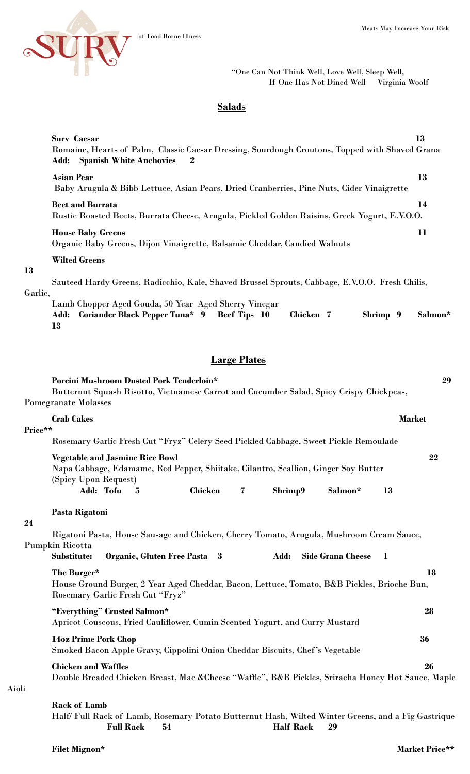

"One Can Not Think Well, Love Well, Sleep Well, If One Has Not Dined Well Virginia Woolf

## **Salads**

|         | <b>Surv Caesar</b><br>Romaine, Hearts of Palm, Classic Caesar Dressing, Sourdough Croutons, Topped with Shaved Grana<br><b>Add:</b> Spanish White Anchovies<br>$\bf{2}$                                                   | 13      |  |  |  |  |
|---------|---------------------------------------------------------------------------------------------------------------------------------------------------------------------------------------------------------------------------|---------|--|--|--|--|
|         | <b>Asian Pear</b>                                                                                                                                                                                                         | 13      |  |  |  |  |
|         | Baby Arugula & Bibb Lettuce, Asian Pears, Dried Cranberries, Pine Nuts, Cider Vinaigrette                                                                                                                                 |         |  |  |  |  |
| 13      | <b>Beet and Burrata</b><br>Rustic Roasted Beets, Burrata Cheese, Arugula, Pickled Golden Raisins, Greek Yogurt, E.V.O.O.                                                                                                  | 14      |  |  |  |  |
|         | <b>House Baby Greens</b><br>Organic Baby Greens, Dijon Vinaigrette, Balsamic Cheddar, Candied Walnuts                                                                                                                     | 11      |  |  |  |  |
|         | <b>Wilted Greens</b>                                                                                                                                                                                                      |         |  |  |  |  |
|         | Sauteed Hardy Greens, Radicchio, Kale, Shaved Brussel Sprouts, Cabbage, E.V.O.O. Fresh Chilis,                                                                                                                            |         |  |  |  |  |
| Garlic, | Lamb Chopper Aged Gouda, 50 Year Aged Sherry Vinegar<br>Chicken 7<br><b>Coriander Black Pepper Tuna* 9</b><br><b>Beef Tips</b> 10<br>Shrimp 9<br>Add:<br>13                                                               | Salmon* |  |  |  |  |
|         | <b>Large Plates</b>                                                                                                                                                                                                       |         |  |  |  |  |
|         | Porcini Mushroom Dusted Pork Tenderloin*<br>Butternut Squash Risotto, Vietnamese Carrot and Cucumber Salad, Spicy Crispy Chickpeas,<br><b>Pomegranate Molasses</b>                                                        | 29      |  |  |  |  |
|         | <b>Crab Cakes</b><br><b>Market</b>                                                                                                                                                                                        |         |  |  |  |  |
| Price** |                                                                                                                                                                                                                           |         |  |  |  |  |
|         | Rosemary Garlic Fresh Cut "Fryz" Celery Seed Pickled Cabbage, Sweet Pickle Remoulade                                                                                                                                      |         |  |  |  |  |
|         | <b>Vegetable and Jasmine Rice Bowl</b><br>Napa Cabbage, Edamame, Red Pepper, Shiitake, Cilantro, Scallion, Ginger Soy Butter<br>(Spicy Upon Request)<br>Add: Tofu<br><b>Chicken</b><br>Shrimp9<br>Salmon*<br>13<br>5<br>7 | 22      |  |  |  |  |
|         |                                                                                                                                                                                                                           |         |  |  |  |  |
|         | Pasta Rigatoni                                                                                                                                                                                                            |         |  |  |  |  |
| 24      | Rigatoni Pasta, House Sausage and Chicken, Cherry Tomato, Arugula, Mushroom Cream Sauce,<br>Pumpkin Ricotta                                                                                                               |         |  |  |  |  |
|         | Organic, Gluten Free Pasta 3<br>Add:<br>Substitute:<br><b>Side Grana Cheese</b><br>$\mathbf 1$                                                                                                                            |         |  |  |  |  |
|         | The Burger*<br>House Ground Burger, 2 Year Aged Cheddar, Bacon, Lettuce, Tomato, B&B Pickles, Brioche Bun,<br>Rosemary Garlic Fresh Cut "Fryz"                                                                            | 18      |  |  |  |  |
|         | "Everything" Crusted Salmon*<br>Apricot Couscous, Fried Cauliflower, Cumin Scented Yogurt, and Curry Mustard                                                                                                              | 28      |  |  |  |  |
|         | 14oz Prime Pork Chop<br>Smoked Bacon Apple Gravy, Cippolini Onion Cheddar Biscuits, Chef's Vegetable                                                                                                                      | 36      |  |  |  |  |
| i       | <b>Chicken and Waffles</b><br>Double Breaded Chicken Breast, Mac & Cheese "Waffle", B&B Pickles, Sriracha Honey Hot Sauce, Maple                                                                                          | 26      |  |  |  |  |
|         | <b>Rack of Lamb</b><br>Half/Full Rack of Lamb, Rosemary Potato Butternut Hash, Wilted Winter Greens, and a Fig Gastrique<br><b>Full Rack</b><br><b>Half Rack</b><br>54<br>29                                              |         |  |  |  |  |

Aioli